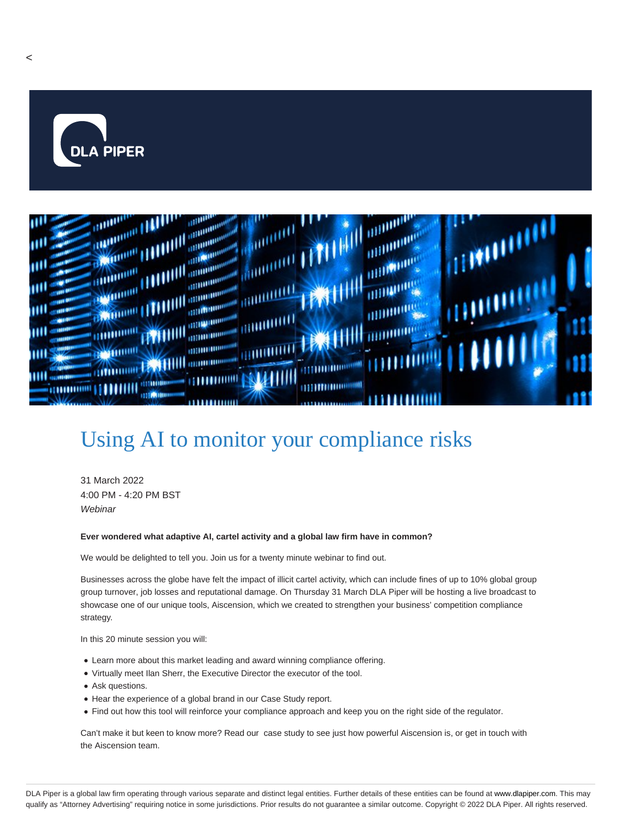



## Using AI to monitor your compliance risks

31 March 2022 4:00 PM - 4:20 PM BST **Webinar** 

## **Ever wondered what adaptive AI, cartel activity and a global law firm have in common?**

We would be delighted to tell you. Join us for a twenty minute webinar to find out.

Businesses across the globe have felt the impact of illicit cartel activity, which can include fines of up to 10% global group group turnover, job losses and reputational damage. On Thursday 31 March DLA Piper will be hosting a live broadcast to showcase one of our unique tools, Aiscension, which we created to strengthen your business' competition compliance strategy.

In this 20 minute session you will:

- Learn more about this market leading and award winning compliance offering.
- Virtually meet Ilan Sherr, the Executive Director the executor of the tool.
- Ask questions.
- Hear the experience of a global brand in our Case Study report.
- Find out how this tool will reinforce your compliance approach and keep you on the right side of the regulator.

Can't make it but keen to know more? Read our case study to see just how powerful Aiscension is, or get in touch with the Aiscension team.